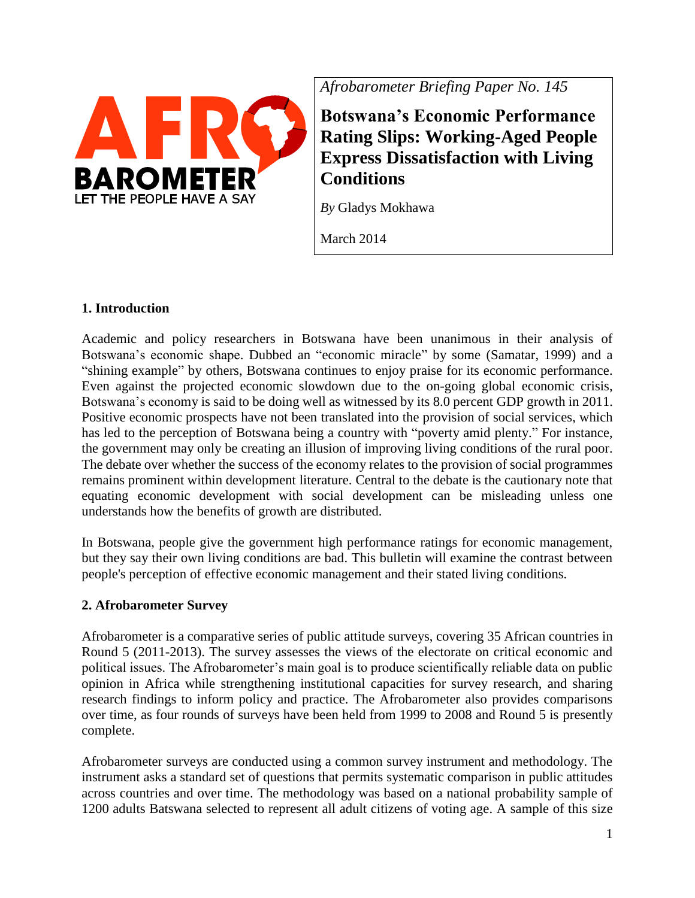

*Afrobarometer Briefing Paper No. 145*

**Botswana's Economic Performance Rating Slips: Working-Aged People Express Dissatisfaction with Living Conditions**

*By* Gladys Mokhawa

March 2014

# **1. Introduction**

Academic and policy researchers in Botswana have been unanimous in their analysis of Botswana's economic shape. Dubbed an "economic miracle" by some (Samatar, 1999) and a "shining example" by others, Botswana continues to enjoy praise for its economic performance. Even against the projected economic slowdown due to the on-going global economic crisis, Botswana's economy is said to be doing well as witnessed by its 8.0 percent GDP growth in 2011. Positive economic prospects have not been translated into the provision of social services, which has led to the perception of Botswana being a country with "poverty amid plenty." For instance, the government may only be creating an illusion of improving living conditions of the rural poor. The debate over whether the success of the economy relates to the provision of social programmes remains prominent within development literature. Central to the debate is the cautionary note that equating economic development with social development can be misleading unless one understands how the benefits of growth are distributed.

In Botswana, people give the government high performance ratings for economic management, but they say their own living conditions are bad. This bulletin will examine the contrast between people's perception of effective economic management and their stated living conditions.

# **2. Afrobarometer Survey**

Afrobarometer is a comparative series of public attitude surveys, covering 35 African countries in Round 5 (2011-2013). The survey assesses the views of the electorate on critical economic and political issues. The Afrobarometer's main goal is to produce scientifically reliable data on public opinion in Africa while strengthening institutional capacities for survey research, and sharing research findings to inform policy and practice. The Afrobarometer also provides comparisons over time, as four rounds of surveys have been held from 1999 to 2008 and Round 5 is presently complete.

Afrobarometer surveys are conducted using a common survey instrument and methodology. The instrument asks a standard set of questions that permits systematic comparison in public attitudes across countries and over time. The methodology was based on a national probability sample of 1200 adults Batswana selected to represent all adult citizens of voting age. A sample of this size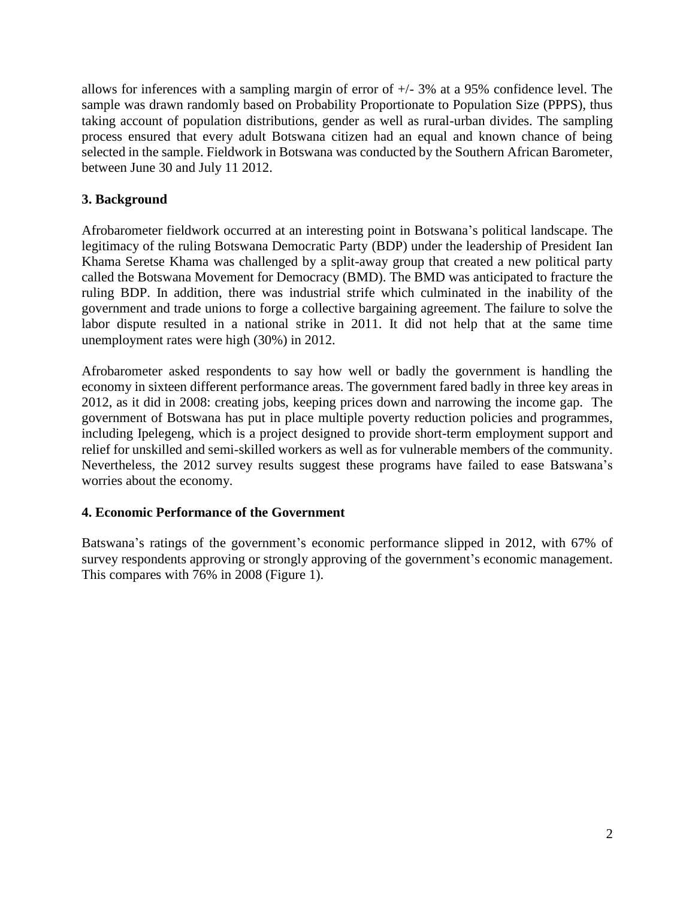allows for inferences with a sampling margin of error of +/- 3% at a 95% confidence level. The sample was drawn randomly based on Probability Proportionate to Population Size (PPPS), thus taking account of population distributions, gender as well as rural-urban divides. The sampling process ensured that every adult Botswana citizen had an equal and known chance of being selected in the sample. Fieldwork in Botswana was conducted by the Southern African Barometer, between June 30 and July 11 2012.

# **3. Background**

Afrobarometer fieldwork occurred at an interesting point in Botswana's political landscape. The legitimacy of the ruling Botswana Democratic Party (BDP) under the leadership of President Ian Khama Seretse Khama was challenged by a split-away group that created a new political party called the Botswana Movement for Democracy (BMD). The BMD was anticipated to fracture the ruling BDP. In addition, there was industrial strife which culminated in the inability of the government and trade unions to forge a collective bargaining agreement. The failure to solve the labor dispute resulted in a national strike in 2011. It did not help that at the same time unemployment rates were high (30%) in 2012.

Afrobarometer asked respondents to say how well or badly the government is handling the economy in sixteen different performance areas. The government fared badly in three key areas in 2012, as it did in 2008: creating jobs, keeping prices down and narrowing the income gap. The government of Botswana has put in place multiple poverty reduction policies and programmes, including Ipelegeng, which is a project designed to provide short-term employment support and relief for unskilled and semi-skilled workers as well as for vulnerable members of the community. Nevertheless, the 2012 survey results suggest these programs have failed to ease Batswana's worries about the economy.

# **4. Economic Performance of the Government**

Batswana's ratings of the government's economic performance slipped in 2012, with 67% of survey respondents approving or strongly approving of the government's economic management. This compares with 76% in 2008 (Figure 1).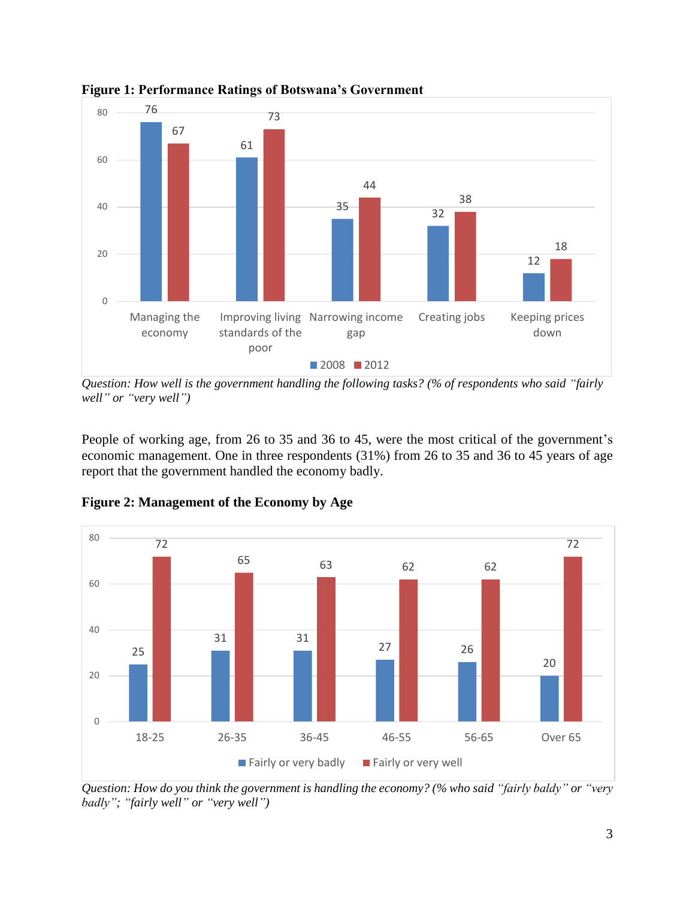

**Figure 1: Performance Ratings of Botswana's Government**

*Question: How well is the government handling the following tasks? (% of respondents who said "fairly well" or "very well")*

People of working age, from 26 to 35 and 36 to 45, were the most critical of the government's economic management. One in three respondents (31%) from 26 to 35 and 36 to 45 years of age report that the government handled the economy badly.



**Figure 2: Management of the Economy by Age**

*Question: How do you think the government is handling the economy? (% who said "fairly baldy" or "very badly"; "fairly well" or "very well")*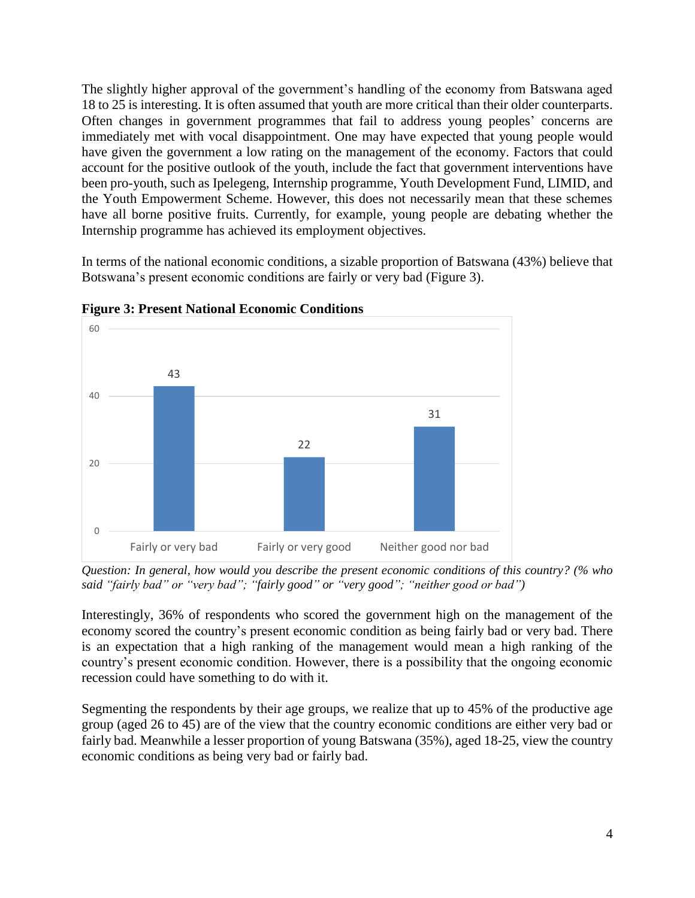The slightly higher approval of the government's handling of the economy from Batswana aged 18 to 25 is interesting. It is often assumed that youth are more critical than their older counterparts. Often changes in government programmes that fail to address young peoples' concerns are immediately met with vocal disappointment. One may have expected that young people would have given the government a low rating on the management of the economy. Factors that could account for the positive outlook of the youth, include the fact that government interventions have been pro-youth, such as Ipelegeng, Internship programme, Youth Development Fund, LIMID, and the Youth Empowerment Scheme. However, this does not necessarily mean that these schemes have all borne positive fruits. Currently, for example, young people are debating whether the Internship programme has achieved its employment objectives.

In terms of the national economic conditions, a sizable proportion of Batswana (43%) believe that Botswana's present economic conditions are fairly or very bad (Figure 3).



**Figure 3: Present National Economic Conditions**

*Question: In general, how would you describe the present economic conditions of this country? (% who said "fairly bad" or "very bad"; "fairly good" or "very good"; "neither good or bad")*

Interestingly, 36% of respondents who scored the government high on the management of the economy scored the country's present economic condition as being fairly bad or very bad. There is an expectation that a high ranking of the management would mean a high ranking of the country's present economic condition. However, there is a possibility that the ongoing economic recession could have something to do with it.

Segmenting the respondents by their age groups, we realize that up to 45% of the productive age group (aged 26 to 45) are of the view that the country economic conditions are either very bad or fairly bad. Meanwhile a lesser proportion of young Batswana (35%), aged 18-25, view the country economic conditions as being very bad or fairly bad.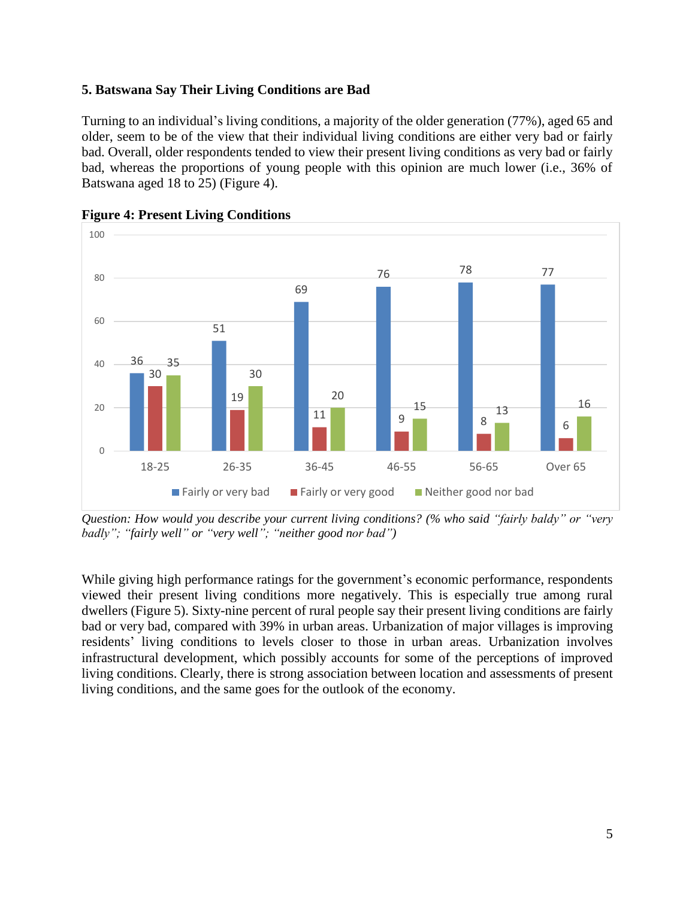## **5. Batswana Say Their Living Conditions are Bad**

Turning to an individual's living conditions, a majority of the older generation (77%), aged 65 and older, seem to be of the view that their individual living conditions are either very bad or fairly bad. Overall, older respondents tended to view their present living conditions as very bad or fairly bad, whereas the proportions of young people with this opinion are much lower (i.e., 36% of Batswana aged 18 to 25) (Figure 4).





*Question: How would you describe your current living conditions? (% who said "fairly baldy" or "very badly"; "fairly well" or "very well"; "neither good nor bad")*

While giving high performance ratings for the government's economic performance, respondents viewed their present living conditions more negatively. This is especially true among rural dwellers (Figure 5). Sixty-nine percent of rural people say their present living conditions are fairly bad or very bad, compared with 39% in urban areas. Urbanization of major villages is improving residents' living conditions to levels closer to those in urban areas. Urbanization involves infrastructural development, which possibly accounts for some of the perceptions of improved living conditions. Clearly, there is strong association between location and assessments of present living conditions, and the same goes for the outlook of the economy.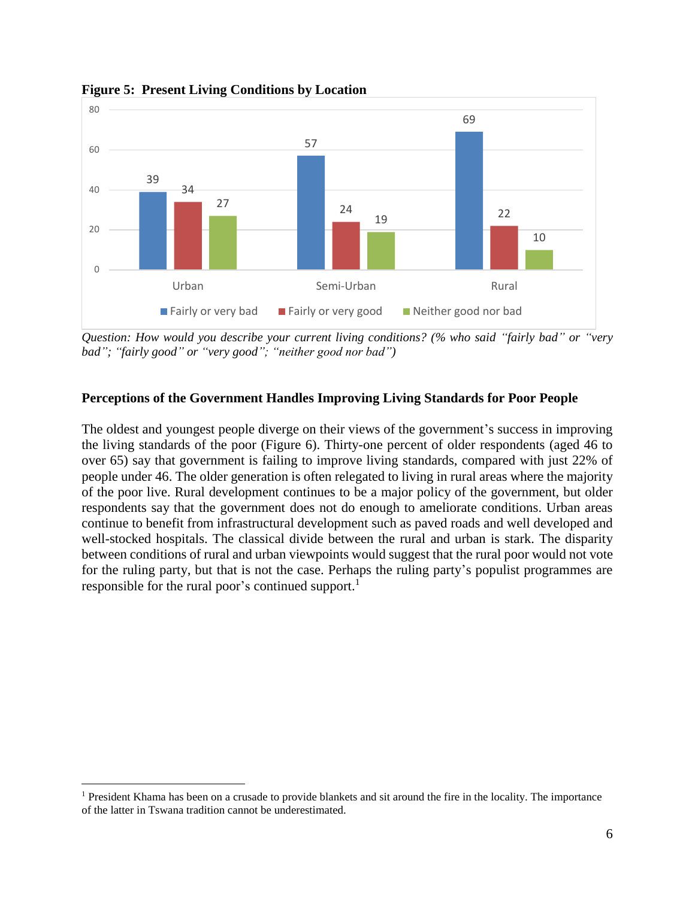

**Figure 5: Present Living Conditions by Location**

*Question: How would you describe your current living conditions? (% who said "fairly bad" or "very bad"; "fairly good" or "very good"; "neither good nor bad")*

### **Perceptions of the Government Handles Improving Living Standards for Poor People**

The oldest and youngest people diverge on their views of the government's success in improving the living standards of the poor (Figure 6). Thirty-one percent of older respondents (aged 46 to over 65) say that government is failing to improve living standards, compared with just 22% of people under 46. The older generation is often relegated to living in rural areas where the majority of the poor live. Rural development continues to be a major policy of the government, but older respondents say that the government does not do enough to ameliorate conditions. Urban areas continue to benefit from infrastructural development such as paved roads and well developed and well-stocked hospitals. The classical divide between the rural and urban is stark. The disparity between conditions of rural and urban viewpoints would suggest that the rural poor would not vote for the ruling party, but that is not the case. Perhaps the ruling party's populist programmes are responsible for the rural poor's continued support.<sup>1</sup>

 $\overline{a}$ 

<sup>&</sup>lt;sup>1</sup> President Khama has been on a crusade to provide blankets and sit around the fire in the locality. The importance of the latter in Tswana tradition cannot be underestimated.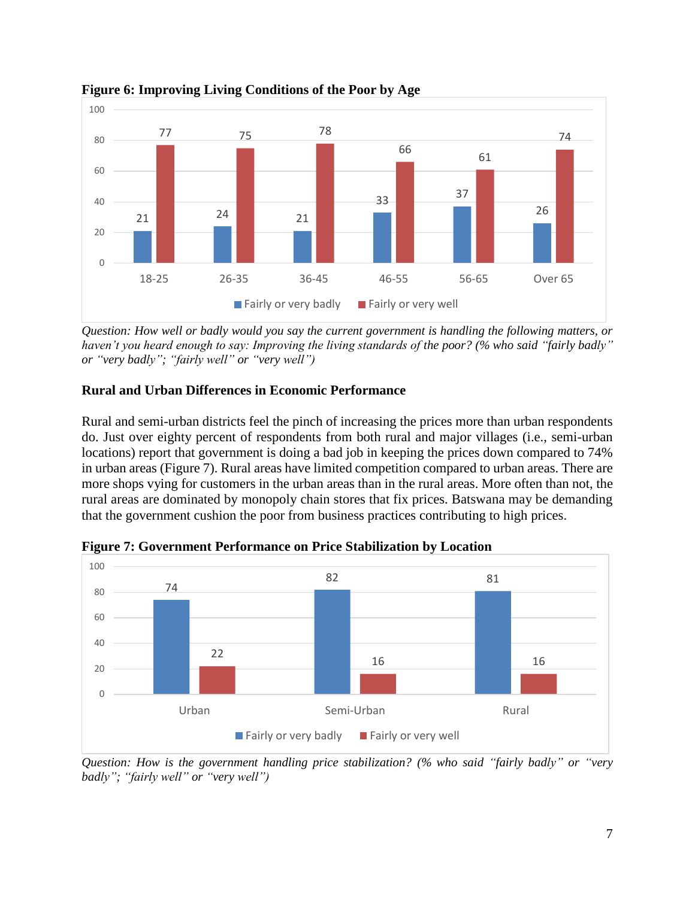

**Figure 6: Improving Living Conditions of the Poor by Age**

*Question: How well or badly would you say the current government is handling the following matters, or haven't you heard enough to say: Improving the living standards of the poor? (% who said "fairly badly" or "very badly"; "fairly well" or "very well")*

# **Rural and Urban Differences in Economic Performance**

Rural and semi-urban districts feel the pinch of increasing the prices more than urban respondents do. Just over eighty percent of respondents from both rural and major villages (i.e., semi-urban locations) report that government is doing a bad job in keeping the prices down compared to 74% in urban areas (Figure 7). Rural areas have limited competition compared to urban areas. There are more shops vying for customers in the urban areas than in the rural areas. More often than not, the rural areas are dominated by monopoly chain stores that fix prices. Batswana may be demanding that the government cushion the poor from business practices contributing to high prices.



**Figure 7: Government Performance on Price Stabilization by Location**

*Question: How is the government handling price stabilization? (% who said "fairly badly" or "very badly"; "fairly well" or "very well")*